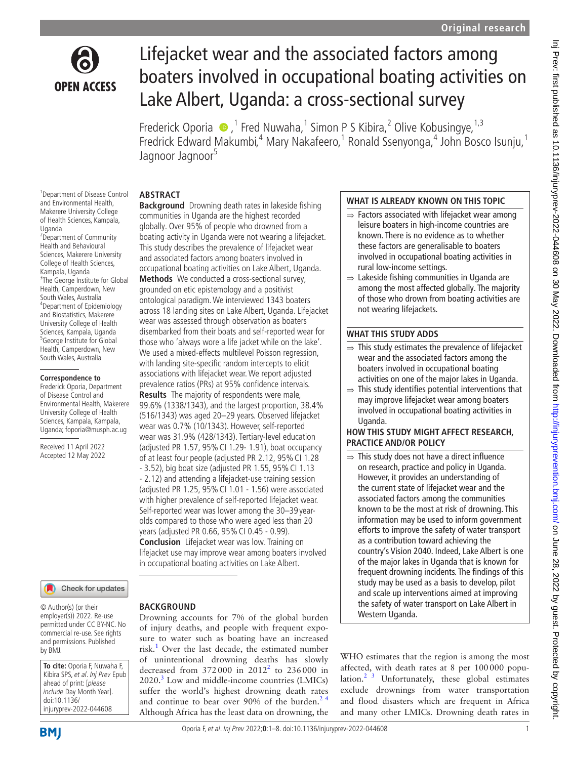

# Lifejacket wear and the associated factors among boaters involved in occupational boating activities on Lake Albert, Uganda: a cross-sectional survey

Frederick Oporia  $\bullet$ , <sup>1</sup> Fred Nuwaha, <sup>1</sup> Simon P S Kibira, <sup>2</sup> Olive Kobusingye, <sup>1,3</sup> Fredrick Edward Makumbi,<sup>4</sup> Mary Nakafeero,<sup>1</sup> Ronald Ssenyonga,<sup>4</sup> John Bosco Isunju,<sup>1</sup> Jagnoor Jagnoor<sup>5</sup>

#### **ABSTRACT**

1 Department of Disease Control and Environmental Health, Makerere University College of Health Sciences, Kampala, Uganda <sup>2</sup>Department of Community Health and Behavioural Sciences, Makerere University College of Health Sciences, Kampala, Uganda <sup>3</sup>The George Institute for Global Health, Camperdown, New South Wales, Australia 4 Department of Epidemiology and Biostatistics, Makerere University College of Health Sciences, Kampala, Uganda 5 George Institute for Global Health, Camperdown, New South Wales, Australia

#### **Correspondence to**

Frederick Oporia, Department of Disease Control and Environmental Health, Makerere University College of Health Sciences, Kampala, Kampala, Uganda; foporia@musph.ac.ug

Received 11 April 2022 Accepted 12 May 2022

**Background** Drowning death rates in lakeside fishing communities in Uganda are the highest recorded globally. Over 95% of people who drowned from a boating activity in Uganda were not wearing a lifejacket. This study describes the prevalence of lifejacket wear and associated factors among boaters involved in occupational boating activities on Lake Albert, Uganda.

**Methods** We conducted a cross-sectional survey, grounded on etic epistemology and a positivist ontological paradigm. We interviewed 1343 boaters across 18 landing sites on Lake Albert, Uganda. Lifejacket wear was assessed through observation as boaters disembarked from their boats and self-reported wear for those who 'always wore a life jacket while on the lake'. We used a mixed-effects multilevel Poisson regression, with landing site-specific random intercepts to elicit associations with lifejacket wear. We report adjusted prevalence ratios (PRs) at 95% confidence intervals. **Results** The majority of respondents were male, 99.6% (1338/1343), and the largest proportion, 38.4% (516/1343) was aged 20–29 years. Observed lifejacket wear was 0.7% (10/1343). However, self-reported wear was 31.9% (428/1343). Tertiary-level education (adjusted PR 1.57, 95%CI 1.29- 1.91), boat occupancy of at least four people (adjusted PR 2.12, 95% CI 1.28

- 3.52), big boat size (adjusted PR 1.55, 95%CI 1.13 - 2.12) and attending a lifejacket-use training session (adjusted PR 1.25, 95%CI 1.01 - 1.56) were associated with higher prevalence of self-reported lifejacket wear. Self-reported wear was lower among the 30–39 yearolds compared to those who were aged less than 20 years (adjusted PR 0.66, 95%CI 0.45 - 0.99). **Conclusion** Lifejacket wear was low. Training on lifejacket use may improve wear among boaters involved

in occupational boating activities on Lake Albert.

#### Check for updates

© Author(s) (or their employer(s)) 2022. Re-use permitted under CC BY-NC. No commercial re-use. See rights and permissions. Published by BMJ.

**To cite:** Oporia F, Nuwaha F, Kibira SPS, et al. Inj Prev Epub ahead of print: [please include Day Month Year]. doi:10.1136/ injuryprev-2022-044608

#### **BACKGROUND**

Drowning accounts for 7% of the global burden of injury deaths, and people with frequent exposure to water such as boating have an increased risk.<sup>1</sup> Over the last decade, the estimated number of unintentional drowning deaths has slowly decreased from  $372000$  in  $2012^2$  to  $236000$  in  $2020$ .<sup>[3](#page-6-2)</sup> Low and middle-income countries (LMICs) suffer the world's highest drowning death rates and continue to bear over 90% of the burden.<sup>24</sup> Although Africa has the least data on drowning, the

#### **WHAT IS ALREADY KNOWN ON THIS TOPIC**

- $\Rightarrow$  Factors associated with lifejacket wear among leisure boaters in high-income countries are known. There is no evidence as to whether these factors are generalisable to boaters involved in occupational boating activities in rural low-income settings.
- ⇒ Lakeside fishing communities in Uganda are among the most affected globally. The majority of those who drown from boating activities are not wearing lifejackets.

#### **WHAT THIS STUDY ADDS**

- $\Rightarrow$  This study estimates the prevalence of lifejacket wear and the associated factors among the boaters involved in occupational boating activities on one of the major lakes in Uganda.
- $\Rightarrow$  This study identifies potential interventions that may improve lifejacket wear among boaters involved in occupational boating activities in Uganda.

#### **HOW THIS STUDY MIGHT AFFECT RESEARCH, PRACTICE AND/OR POLICY**

 $\Rightarrow$  This study does not have a direct influence on research, practice and policy in Uganda. However, it provides an understanding of the current state of lifejacket wear and the associated factors among the communities known to be the most at risk of drowning. This information may be used to inform government efforts to improve the safety of water transport as a contribution toward achieving the country's Vision 2040. Indeed, Lake Albert is one of the major lakes in Uganda that is known for frequent drowning incidents. The findings of this study may be used as a basis to develop, pilot and scale up interventions aimed at improving the safety of water transport on Lake Albert in Western Uganda.

WHO estimates that the region is among the most affected, with death rates at 8 per 100000 population. $2^{3}$  Unfortunately, these global estimates exclude drownings from water transportation and flood disasters which are frequent in Africa and many other LMICs. Drowning death rates in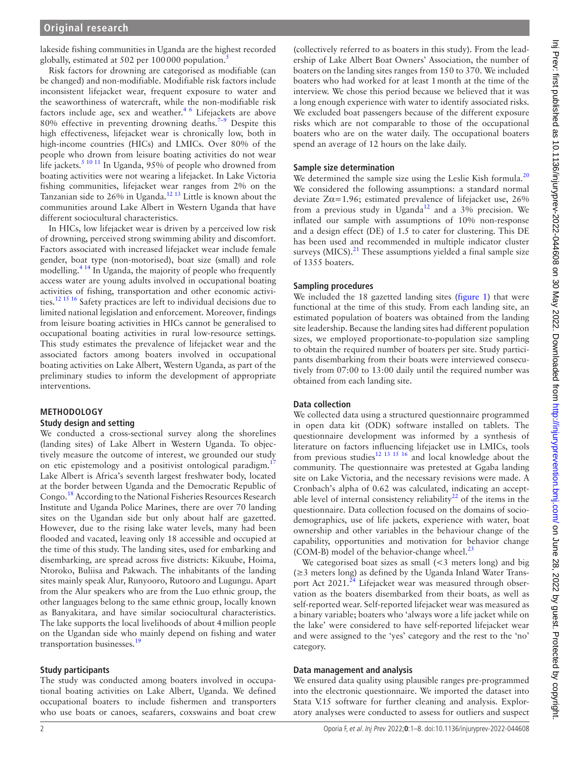lakeside fishing communities in Uganda are the highest recorded globally, estimated at [5](#page-6-3)02 per  $100000$  population.<sup>5</sup>

Risk factors for drowning are categorised as modifiable (can be changed) and non-modifiable. Modifiable risk factors include inconsistent lifejacket wear, frequent exposure to water and the seaworthiness of watercraft, while the non-modifiable risk factors include age, sex and weather.<sup>46</sup> Lifejackets are above 80% effective in preventing drowning deaths.<sup>7-9</sup> Despite this high effectiveness, lifejacket wear is chronically low, both in high-income countries (HICs) and LMICs. Over 80% of the people who drown from leisure boating activities do not wear life jackets.<sup>5 10 11</sup> In Uganda, 95% of people who drowned from boating activities were not wearing a lifejacket. In Lake Victoria fishing communities, lifejacket wear ranges from 2% on the Tanzanian side to  $26\%$  in Uganda.<sup>12 13</sup> Little is known about the communities around Lake Albert in Western Uganda that have different sociocultural characteristics.

In HICs, low lifejacket wear is driven by a perceived low risk of drowning, perceived strong swimming ability and discomfort. Factors associated with increased lifejacket wear include female gender, boat type (non-motorised), boat size (small) and role modelling.<sup>4 14</sup> In Uganda, the majority of people who frequently access water are young adults involved in occupational boating activities of fishing, transportation and other economic activities[.12 15 16](#page-6-6) Safety practices are left to individual decisions due to limited national legislation and enforcement. Moreover, findings from leisure boating activities in HICs cannot be generalised to occupational boating activities in rural low-resource settings. This study estimates the prevalence of lifejacket wear and the associated factors among boaters involved in occupational boating activities on Lake Albert, Western Uganda, as part of the preliminary studies to inform the development of appropriate interventions.

### **METHODOLOGY**

#### **Study design and setting**

We conducted a cross-sectional survey along the shorelines (landing sites) of Lake Albert in Western Uganda. To objectively measure the outcome of interest, we grounded our study on etic epistemology and a positivist ontological paradigm.<sup>1</sup> Lake Albert is Africa's seventh largest freshwater body, located at the border between Uganda and the Democratic Republic of Congo.[18](#page-7-0) According to the National Fisheries Resources Research Institute and Uganda Police Marines, there are over 70 landing sites on the Ugandan side but only about half are gazetted. However, due to the rising lake water levels, many had been flooded and vacated, leaving only 18 accessible and occupied at the time of this study. The landing sites, used for embarking and disembarking, are spread across five districts: Kikuube, Hoima, Ntoroko, Buliisa and Pakwach. The inhabitants of the landing sites mainly speak Alur, Runyooro, Rutooro and Lugungu. Apart from the Alur speakers who are from the Luo ethnic group, the other languages belong to the same ethnic group, locally known as Banyakitara, and have similar sociocultural characteristics. The lake supports the local livelihoods of about 4million people on the Ugandan side who mainly depend on fishing and water transportation businesses.<sup>[19](#page-7-1)</sup>

#### **Study participants**

The study was conducted among boaters involved in occupational boating activities on Lake Albert, Uganda. We defined occupational boaters to include fishermen and transporters who use boats or canoes, seafarers, coxswains and boat crew

(collectively referred to as boaters in this study). From the leadership of Lake Albert Boat Owners' Association, the number of boaters on the landing sites ranges from 150 to 370. We included boaters who had worked for at least 1month at the time of the interview. We chose this period because we believed that it was a long enough experience with water to identify associated risks. We excluded boat passengers because of the different exposure risks which are not comparable to those of the occupational boaters who are on the water daily. The occupational boaters spend an average of 12 hours on the lake daily.

#### **Sample size determination**

We determined the sample size using the Leslie Kish formula.<sup>[20](#page-7-2)</sup> We considered the following assumptions: a standard normal deviate  $Z\alpha = 1.96$ ; estimated prevalence of lifejacket use, 26% from a previous study in Uganda<sup>[12](#page-6-6)</sup> and a 3% precision. We inflated our sample with assumptions of 10% non-response and a design effect (DE) of 1.5 to cater for clustering. This DE has been used and recommended in multiple indicator cluster surveys (MICS). $^{21}$  These assumptions yielded a final sample size of 1355 boaters.

#### **Sampling procedures**

We included the 18 gazetted landing sites [\(figure](#page-2-0) 1) that were functional at the time of this study. From each landing site, an estimated population of boaters was obtained from the landing site leadership. Because the landing sites had different population sizes, we employed proportionate-to-population size sampling to obtain the required number of boaters per site. Study participants disembarking from their boats were interviewed consecutively from 07:00 to 13:00 daily until the required number was obtained from each landing site.

### **Data collection**

We collected data using a structured questionnaire programmed in open data kit (ODK) software installed on tablets. The questionnaire development was informed by a synthesis of literature on factors influencing lifejacket use in LMICs, tools from previous studies<sup>12 13 15 16</sup> and local knowledge about the community. The questionnaire was pretested at Ggaba landing site on Lake Victoria, and the necessary revisions were made. A Cronbach's alpha of 0.62 was calculated, indicating an acceptable level of internal consistency reliability<sup>22</sup> of the items in the questionnaire. Data collection focused on the domains of sociodemographics, use of life jackets, experience with water, boat ownership and other variables in the behaviour change of the capability, opportunities and motivation for behavior change (COM-B) model of the behavior-change wheel. $^{23}$  $^{23}$  $^{23}$ 

We categorised boat sizes as small (<3 meters long) and big (≥3 meters long) as defined by the Uganda Inland Water Transport Act  $2021<sup>24</sup>$  Lifejacket wear was measured through observation as the boaters disembarked from their boats, as well as self-reported wear. Self-reported lifejacket wear was measured as a binary variable; boaters who 'always wore a life jacket while on the lake' were considered to have self-reported lifejacket wear and were assigned to the 'yes' category and the rest to the 'no' category.

#### **Data management and analysis**

We ensured data quality using plausible ranges pre-programmed into the electronic questionnaire. We imported the dataset into Stata V.15 software for further cleaning and analysis. Exploratory analyses were conducted to assess for outliers and suspect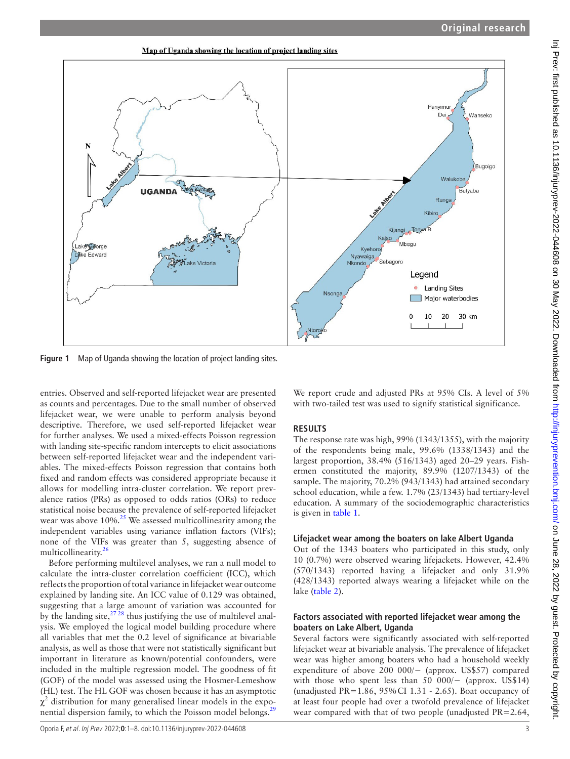Map of Uganda showing the location of project landing sites



<span id="page-2-0"></span>**Figure 1** Map of Uganda showing the location of project landing sites.

entries. Observed and self-reported lifejacket wear are presented as counts and percentages. Due to the small number of observed lifejacket wear, we were unable to perform analysis beyond descriptive. Therefore, we used self-reported lifejacket wear for further analyses. We used a mixed-effects Poisson regression with landing site-specific random intercepts to elicit associations between self-reported lifejacket wear and the independent variables. The mixed-effects Poisson regression that contains both fixed and random effects was considered appropriate because it allows for modelling intra-cluster correlation. We report prevalence ratios (PRs) as opposed to odds ratios (ORs) to reduce statistical noise because the prevalence of self-reported lifejacket wear was above  $10\%$ .<sup>25</sup> We assessed multicollinearity among the independent variables using variance inflation factors (VIFs); none of the VIFs was greater than 5, suggesting absence of multicollinearity. $^{26}$ 

Before performing multilevel analyses, we ran a null model to calculate the intra-cluster correlation coefficient (ICC), which reflects the proportion of total variance in lifejacket wear outcome explained by landing site. An ICC value of 0.129 was obtained, suggesting that a large amount of variation was accounted for by the landing site, $27 \times 28$  thus justifying the use of multilevel analysis. We employed the logical model building procedure where all variables that met the 0.2 level of significance at bivariable analysis, as well as those that were not statistically significant but important in literature as known/potential confounders, were included in the multiple regression model. The goodness of fit (GOF) of the model was assessed using the Hosmer-Lemeshow (HL) test. The HL GOF was chosen because it has an asymptotic  $\chi^2$  distribution for many generalised linear models in the exponential dispersion family, to which the Poisson model belongs.[29](#page-7-10)

We report crude and adjusted PRs at 95% CIs. A level of 5% with two-tailed test was used to signify statistical significance.

# **RESULTS**

The response rate was high, 99% (1343/1355), with the majority of the respondents being male, 99.6% (1338/1343) and the largest proportion, 38.4% (516/1343) aged 20–29 years. Fishermen constituted the majority, 89.9% (1207/1343) of the sample. The majority, 70.2% (943/1343) had attained secondary school education, while a few. 1.7% (23/1343) had tertiary-level education. A summary of the sociodemographic characteristics is given in [table](#page-3-0) 1.

# **Lifejacket wear among the boaters on lake Albert Uganda**

Out of the 1343 boaters who participated in this study, only 10 (0.7%) were observed wearing lifejackets. However, 42.4% (570/1343) reported having a lifejacket and only 31.9% (428/1343) reported always wearing a lifejacket while on the lake ([table](#page-3-1) 2).

#### **Factors associated with reported lifejacket wear among the boaters on Lake Albert, Uganda**

Several factors were significantly associated with self-reported lifejacket wear at bivariable analysis. The prevalence of lifejacket wear was higher among boaters who had a household weekly expenditure of above 200 000/− (approx. US\$57) compared with those who spent less than 50 000/ $-$  (approx. US\$14) (unadjusted PR=1.86, 95%CI 1.31 - 2.65). Boat occupancy of at least four people had over a twofold prevalence of lifejacket wear compared with that of two people (unadjusted PR=2.64,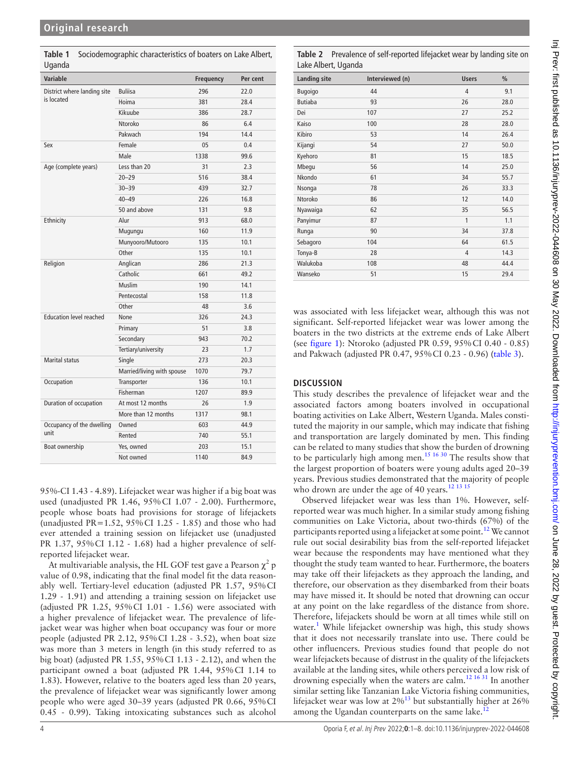| Variable                       |                            | Frequency | Per cent |
|--------------------------------|----------------------------|-----------|----------|
| District where landing site    | <b>Buliisa</b>             | 296       | 22.0     |
| is located                     | Hoima                      | 381       | 28.4     |
|                                | Kikuube                    | 386       | 28.7     |
|                                | Ntoroko                    | 86        | 6.4      |
|                                | Pakwach                    | 194       | 14.4     |
| Sex                            | Female                     | 05        | 0.4      |
|                                | Male                       | 1338      | 99.6     |
| Age (complete years)           | Less than 20               | 31        | 2.3      |
|                                | $20 - 29$                  | 516       | 38.4     |
|                                | $30 - 39$                  | 439       | 32.7     |
|                                | $40 - 49$                  | 226       | 16.8     |
|                                | 50 and above               | 131       | 9.8      |
| Ethnicity                      | Alur                       | 913       | 68.0     |
|                                | Mugungu                    | 160       | 11.9     |
|                                | Munyooro/Mutooro           | 135       | 10.1     |
|                                | Other                      | 135       | 10.1     |
| Religion                       | Anglican                   | 286       | 21.3     |
|                                | Catholic                   | 661       | 49.2     |
|                                | Muslim                     | 190       | 14.1     |
|                                | Pentecostal                | 158       | 11.8     |
|                                | Other                      | 48        | 3.6      |
| <b>Education level reached</b> | <b>None</b>                | 326       | 24.3     |
|                                | Primary                    | 51        | 3.8      |
|                                | Secondary                  | 943       | 70.2     |
|                                | Tertiary/university        | 23        | 1.7      |
| Marital status                 | Single                     | 273       | 20.3     |
|                                | Married/living with spouse | 1070      | 79.7     |
| Occupation                     | Transporter                | 136       | 10.1     |
|                                | Fisherman                  | 1207      | 89.9     |
| Duration of occupation         | At most 12 months          | 26        | 1.9      |
|                                | More than 12 months        | 1317      | 98.1     |
| Occupancy of the dwelling      | Owned                      | 603       | 44.9     |
| unit                           | Rented                     | 740       | 55.1     |
| Boat ownership                 | Yes, owned                 | 203       | 15.1     |
|                                | Not owned                  | 1140      | 84.9     |

<span id="page-3-0"></span>**Table 1** Sociodemographic characteristics of boaters on Lake Albert, Uganda

95%-CI 1.43 - 4.89). Lifejacket wear was higher if a big boat was used (unadjusted PR 1.46, 95%CI 1.07 - 2.00). Furthermore, people whose boats had provisions for storage of lifejackets (unadjusted PR=1.52,  $95\%$  CI 1.25 - 1.85) and those who had ever attended a training session on lifejacket use (unadjusted PR 1.37, 95%CI 1.12 - 1.68) had a higher prevalence of selfreported lifejacket wear.

At multivariable analysis, the HL GOF test gave a Pearson  $\chi^2$  p value of 0.98, indicating that the final model fit the data reasonably well. Tertiary-level education (adjusted PR 1.57, 95%CI 1.29 - 1.91) and attending a training session on lifejacket use (adjusted PR 1.25, 95%CI 1.01 - 1.56) were associated with a higher prevalence of lifejacket wear. The prevalence of lifejacket wear was higher when boat occupancy was four or more people (adjusted PR 2.12, 95%CI 1.28 - 3.52), when boat size was more than 3 meters in length (in this study referred to as big boat) (adjusted PR 1.55, 95%CI 1.13 - 2.12), and when the participant owned a boat (adjusted PR 1.44, 95%CI 1.14 to 1.83). However, relative to the boaters aged less than 20 years, the prevalence of lifejacket wear was significantly lower among people who were aged 30–39 years (adjusted PR 0.66, 95%CI 0.45 - 0.99). Taking intoxicating substances such as alcohol

<span id="page-3-1"></span>**Table 2** Prevalence of self-reported lifejacket wear by landing site on Lake Albert, Uganda

| <b>Landing site</b> | Interviewed (n) | <b>Users</b> | $\frac{0}{0}$ |
|---------------------|-----------------|--------------|---------------|
| <b>Bugoigo</b>      | 44              | 4            | 9.1           |
| <b>Butiaba</b>      | 93              | 26           | 28.0          |
| Dei                 | 107             | 27           | 25.2          |
| Kaiso               | 100             | 28           | 28.0          |
| Kibiro              | 53              | 14           | 26.4          |
| Kijangi             | 54              | 27           | 50.0          |
| Kyehoro             | 81              | 15           | 18.5          |
| Mbegu               | 56              | 14           | 25.0          |
| Nkondo              | 61              | 34           | 55.7          |
| Nsonga              | 78              | 26           | 33.3          |
| Ntoroko             | 86              | 12           | 14.0          |
| Nyawaiga            | 62              | 35           | 56.5          |
| Panyimur            | 87              | 1            | 1.1           |
| Runga               | 90              | 34           | 37.8          |
| Sebagoro            | 104             | 64           | 61.5          |
| Tonya-B             | 28              | 4            | 14.3          |
| Walukoba            | 108             | 48           | 44.4          |
| Wanseko             | 51              | 15           | 29.4          |

was associated with less lifejacket wear, although this was not significant. Self-reported lifejacket wear was lower among the boaters in the two districts at the extreme ends of Lake Albert (see [figure](#page-2-0) 1): Ntoroko (adjusted PR 0.59, 95%CI 0.40 - 0.85) and Pakwach (adjusted PR 0.47, 95%CI 0.23 - 0.96) ([table](#page-4-0) 3).

### **DISCUSSION**

This study describes the prevalence of lifejacket wear and the associated factors among boaters involved in occupational boating activities on Lake Albert, Western Uganda. Males constituted the majority in our sample, which may indicate that fishing and transportation are largely dominated by men. This finding can be related to many studies that show the burden of drowning to be particularly high among men.<sup>[15 16 30](#page-6-8)</sup> The results show that the largest proportion of boaters were young adults aged 20–39 years. Previous studies demonstrated that the majority of people who drown are under the age of 40 years.<sup>12 13 15</sup>

Observed lifejacket wear was less than 1%. However, selfreported wear was much higher. In a similar study among fishing communities on Lake Victoria, about two-thirds (67%) of the participants reported using a lifejacket at some point.<sup>12</sup> We cannot rule out social desirability bias from the self-reported lifejacket wear because the respondents may have mentioned what they thought the study team wanted to hear. Furthermore, the boaters may take off their lifejackets as they approach the landing, and therefore, our observation as they disembarked from their boats may have missed it. It should be noted that drowning can occur at any point on the lake regardless of the distance from shore. Therefore, lifejackets should be worn at all times while still on water.<sup>1</sup> While lifejacket ownership was high, this study shows that it does not necessarily translate into use. There could be other influencers. Previous studies found that people do not wear lifejackets because of distrust in the quality of the lifejackets available at the landing sites, while others perceived a low risk of drowning especially when the waters are calm.[12 16 31](#page-6-6) In another similar setting like Tanzanian Lake Victoria fishing communities, lifejacket wear was low at  $2\%$ <sup>[13](#page-6-9)</sup> but substantially higher at 26% among the Ugandan counterparts on the same lake.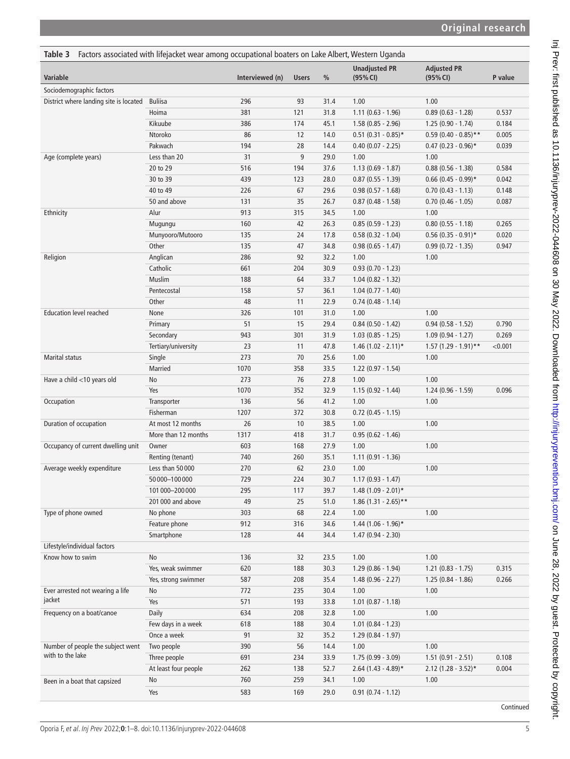<span id="page-4-0"></span>

| Factors associated with lifejacket wear among occupational boaters on Lake Albert, Western Uganda<br>Table 3 |                      |                 |              |      |                                  |                                |         |
|--------------------------------------------------------------------------------------------------------------|----------------------|-----------------|--------------|------|----------------------------------|--------------------------------|---------|
| Variable                                                                                                     |                      | Interviewed (n) | <b>Users</b> | $\%$ | <b>Unadjusted PR</b><br>(95% CI) | <b>Adjusted PR</b><br>(95% CI) | P value |
| Sociodemographic factors                                                                                     |                      |                 |              |      |                                  |                                |         |
| District where landing site is located                                                                       | <b>Buliisa</b>       | 296             | 93           | 31.4 | 1.00                             | 1.00                           |         |
|                                                                                                              | Hoima                | 381             | 121          | 31.8 | $1.11(0.63 - 1.96)$              | $0.89(0.63 - 1.28)$            | 0.537   |
|                                                                                                              | Kikuube              | 386             | 174          | 45.1 | $1.58(0.85 - 2.96)$              | $1.25(0.90 - 1.74)$            | 0.184   |
|                                                                                                              | Ntoroko              | 86              | 12           | 14.0 | $0.51$ (0.31 - 0.85)*            | $0.59(0.40 - 0.85)$ **         | 0.005   |
|                                                                                                              | Pakwach              | 194             | 28           | 14.4 | $0.40$ (0.07 - 2.25)             | $0.47$ (0.23 - 0.96)*          | 0.039   |
| Age (complete years)                                                                                         | Less than 20         | 31              | 9            | 29.0 | 1.00                             | 1.00                           |         |
|                                                                                                              | 20 to 29             | 516             | 194          | 37.6 | $1.13(0.69 - 1.87)$              | $0.88$ (0.56 - 1.38)           | 0.584   |
|                                                                                                              | 30 to 39             | 439             | 123          | 28.0 | $0.87$ (0.55 - 1.39)             | $0.66$ (0.45 - 0.99)*          | 0.042   |
|                                                                                                              | 40 to 49             | 226             | 67           | 29.6 | $0.98$ (0.57 - 1.68)             | $0.70(0.43 - 1.13)$            | 0.148   |
|                                                                                                              | 50 and above         | 131             | 35           | 26.7 | $0.87$ (0.48 - 1.58)             | $0.70(0.46 - 1.05)$            | 0.087   |
| Ethnicity                                                                                                    | Alur                 | 913             | 315          | 34.5 | 1.00                             | 1.00                           |         |
|                                                                                                              | Mugungu              | 160             | 42           | 26.3 | $0.85(0.59 - 1.23)$              | $0.80$ (0.55 - 1.18)           | 0.265   |
|                                                                                                              | Munyooro/Mutooro     | 135             | 24           | 17.8 | $0.58(0.32 - 1.04)$              | $0.56$ (0.35 - 0.91)*          | 0.020   |
|                                                                                                              | Other                | 135             | 47           | 34.8 | $0.98(0.65 - 1.47)$              | $0.99(0.72 - 1.35)$            | 0.947   |
| Religion                                                                                                     | Anglican             | 286             | 92           | 32.2 | 1.00                             | 1.00                           |         |
|                                                                                                              | Catholic             | 661             | 204          | 30.9 | $0.93(0.70 - 1.23)$              |                                |         |
|                                                                                                              | Muslim               | 188             | 64           | 33.7 | $1.04(0.82 - 1.32)$              |                                |         |
|                                                                                                              | Pentecostal          | 158             | 57           | 36.1 | $1.04(0.77 - 1.40)$              |                                |         |
|                                                                                                              | Other                | 48              | 11           | 22.9 | $0.74(0.48 - 1.14)$              |                                |         |
| <b>Education level reached</b>                                                                               | None                 | 326             | 101          | 31.0 | 1.00                             | 1.00                           |         |
|                                                                                                              | Primary              | 51              | 15           | 29.4 | $0.84(0.50 - 1.42)$              | $0.94(0.58 - 1.52)$            | 0.790   |
|                                                                                                              | Secondary            | 943             | 301          | 31.9 | $1.03(0.85 - 1.25)$              | $1.09(0.94 - 1.27)$            | 0.269   |
|                                                                                                              | Tertiary/university  | 23              | 11           | 47.8 | $1.46(1.02 - 2.11)*$             | $1.57$ (1.29 - 1.91)**         | < 0.001 |
| <b>Marital status</b>                                                                                        | Single               | 273             | 70           | 25.6 | 1.00                             | 1.00                           |         |
|                                                                                                              | Married              | 1070            | 358          | 33.5 | $1.22(0.97 - 1.54)$              |                                |         |
| Have a child <10 years old                                                                                   | No                   | 273             | 76           | 27.8 | 1.00                             | 1.00                           |         |
|                                                                                                              | Yes                  | 1070            | 352          | 32.9 | $1.15(0.92 - 1.44)$              | $1.24(0.96 - 1.59)$            | 0.096   |
| Occupation                                                                                                   | Transporter          | 136             | 56           | 41.2 | 1.00                             | 1.00                           |         |
|                                                                                                              | Fisherman            | 1207            | 372          | 30.8 | $0.72$ (0.45 - 1.15)             |                                |         |
| Duration of occupation                                                                                       | At most 12 months    | 26              | 10           | 38.5 | 1.00                             | 1.00                           |         |
|                                                                                                              | More than 12 months  | 1317            | 418          | 31.7 | $0.95(0.62 - 1.46)$              |                                |         |
| Occupancy of current dwelling unit                                                                           | Owner                | 603             | 168          | 27.9 | 1.00                             | 1.00                           |         |
|                                                                                                              | Renting (tenant)     | 740             | 260          | 35.1 | $1.11(0.91 - 1.36)$              |                                |         |
| Average weekly expenditure                                                                                   | Less than 50000      | 270             | 62           | 23.0 | 1.00                             | 1.00                           |         |
|                                                                                                              | 50000-100000         | 729             | 224          | 30.7 | $1.17(0.93 - 1.47)$              |                                |         |
|                                                                                                              | 101000-200000        | 295             | 117          | 39.7 | $1.48(1.09 - 2.01)*$             |                                |         |
|                                                                                                              | 201 000 and above    | 49              | 25           | 51.0 | $1.86(1.31 - 2.65)$ **           |                                |         |
| Type of phone owned                                                                                          | No phone             | 303             | 68           | 22.4 | 1.00                             | 1.00                           |         |
|                                                                                                              | Feature phone        | 912             | 316          | 34.6 | $1.44$ (1.06 - 1.96)*            |                                |         |
|                                                                                                              | Smartphone           | 128             | 44           | 34.4 | $1.47(0.94 - 2.30)$              |                                |         |
| Lifestyle/individual factors                                                                                 |                      |                 |              |      |                                  |                                |         |
| Know how to swim                                                                                             | No                   | 136             | 32           | 23.5 | 1.00                             | 1.00                           |         |
|                                                                                                              | Yes, weak swimmer    | 620             | 188          | 30.3 | 1.29 (0.86 - 1.94)               | $1.21(0.83 - 1.75)$            | 0.315   |
|                                                                                                              | Yes, strong swimmer  | 587             | 208          | 35.4 | $1.48(0.96 - 2.27)$              | $1.25(0.84 - 1.86)$            | 0.266   |
| Ever arrested not wearing a life                                                                             | No                   | 772             | 235          | 30.4 | 1.00                             | 1.00                           |         |
| jacket                                                                                                       | Yes                  | 571             | 193          | 33.8 | $1.01$ (0.87 - 1.18)             |                                |         |
| Frequency on a boat/canoe                                                                                    | Daily                | 634             | 208          | 32.8 | 1.00                             | 1.00                           |         |
|                                                                                                              | Few days in a week   | 618             | 188          | 30.4 | $1.01$ $(0.84 - 1.23)$           |                                |         |
|                                                                                                              | Once a week          | 91              | 32           | 35.2 | $1.29(0.84 - 1.97)$              |                                |         |
| Number of people the subject went                                                                            | Two people           | 390             | 56           | 14.4 | 1.00                             | 1.00                           |         |
| with to the lake                                                                                             | Three people         | 691             | 234          | 33.9 | 1.75 (0.99 - 3.09)               | $1.51(0.91 - 2.51)$            | 0.108   |
|                                                                                                              | At least four people | 262             | 138          | 52.7 | $2.64$ (1.43 - 4.89)*            | $2.12$ (1.28 - 3.52)*          | 0.004   |
| Been in a boat that capsized                                                                                 | No                   | 760             | 259          | 34.1 | 1.00                             | 1.00                           |         |
|                                                                                                              | Yes                  | 583             | 169          | 29.0 | $0.91$ $(0.74 - 1.12)$           |                                |         |

Continued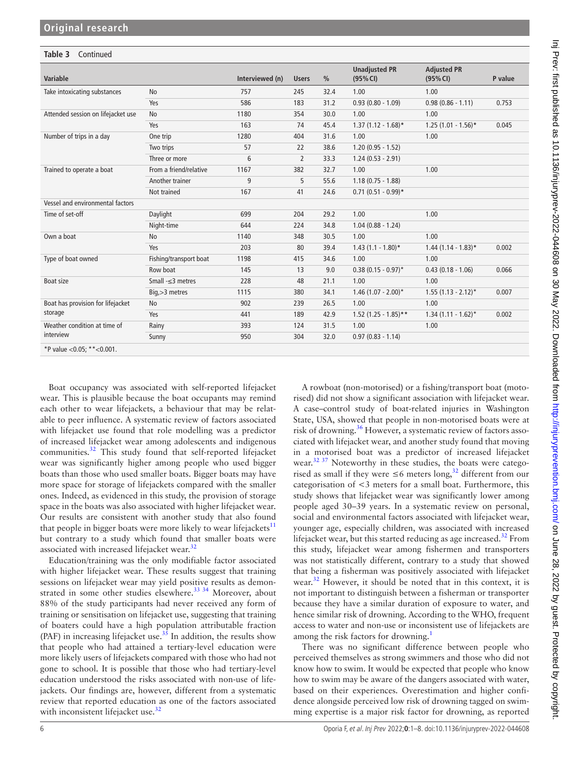| Table 3<br>Continued                         |                        |                 |                |               |                                  |                                |         |
|----------------------------------------------|------------------------|-----------------|----------------|---------------|----------------------------------|--------------------------------|---------|
| Variable                                     |                        | Interviewed (n) | <b>Users</b>   | $\frac{0}{0}$ | <b>Unadjusted PR</b><br>(95% CI) | <b>Adjusted PR</b><br>(95% CI) | P value |
| Take intoxicating substances                 | No                     | 757             | 245            | 32.4          | 1.00                             | 1.00                           |         |
|                                              | Yes                    | 586             | 183            | 31.2          | $0.93(0.80 - 1.09)$              | $0.98(0.86 - 1.11)$            | 0.753   |
| Attended session on lifejacket use           | <b>No</b>              | 1180            | 354            | 30.0          | 1.00                             | 1.00                           |         |
|                                              | Yes                    | 163             | 74             | 45.4          | $1.37(1.12 - 1.68)$ *            | $1.25(1.01 - 1.56)$ *          | 0.045   |
| Number of trips in a day                     | One trip               | 1280            | 404            | 31.6          | 1.00                             | 1.00                           |         |
|                                              | Two trips              | 57              | 22             | 38.6          | $1.20(0.95 - 1.52)$              |                                |         |
|                                              | Three or more          | 6               | $\overline{2}$ | 33.3          | $1.24(0.53 - 2.91)$              |                                |         |
| Trained to operate a boat                    | From a friend/relative | 1167            | 382            | 32.7          | 1.00                             | 1.00                           |         |
|                                              | Another trainer        | 9               | 5              | 55.6          | $1.18(0.75 - 1.88)$              |                                |         |
|                                              | Not trained            | 167             | 41             | 24.6          | $0.71(0.51 - 0.99)*$             |                                |         |
| Vessel and environmental factors             |                        |                 |                |               |                                  |                                |         |
| Time of set-off                              | Daylight               | 699             | 204            | 29.2          | 1.00                             | 1.00                           |         |
|                                              | Night-time             | 644             | 224            | 34.8          | $1.04(0.88 - 1.24)$              |                                |         |
| Own a boat                                   | No                     | 1140            | 348            | 30.5          | 1.00                             | 1.00                           |         |
|                                              | Yes                    | 203             | 80             | 39.4          | $1.43(1.1 - 1.80)*$              | $1.44$ (1.14 - 1.83)*          | 0.002   |
| Type of boat owned                           | Fishing/transport boat | 1198            | 415            | 34.6          | 1.00                             | 1.00                           |         |
|                                              | Row boat               | 145             | 13             | 9.0           | $0.38(0.15 - 0.97)^*$            | $0.43(0.18 - 1.06)$            | 0.066   |
| <b>Boat size</b>                             | Small $-<$ 3 metres    | 228             | 48             | 21.1          | 1.00                             | 1.00                           |         |
|                                              | Big, > 3 metres        | 1115            | 380            | 34.1          | $1.46$ (1.07 - 2.00)*            | $1.55$ (1.13 - 2.12)*          | 0.007   |
| Boat has provision for lifejacket<br>storage | <b>No</b>              | 902             | 239            | 26.5          | 1.00                             | 1.00                           |         |
|                                              | Yes                    | 441             | 189            | 42.9          | $1.52$ (1.25 - 1.85)**           | $1.34(1.11 - 1.62)^{*}$        | 0.002   |
| Weather condition at time of<br>interview    | Rainy                  | 393             | 124            | 31.5          | 1.00                             | 1.00                           |         |
|                                              | Sunny                  | 950             | 304            | 32.0          | $0.97(0.83 - 1.14)$              |                                |         |
| *P value < 0.05; ** < 0.001.                 |                        |                 |                |               |                                  |                                |         |

Boat occupancy was associated with self-reported lifejacket wear. This is plausible because the boat occupants may remind each other to wear lifejackets, a behaviour that may be relatable to peer influence. A systematic review of factors associated with lifejacket use found that role modelling was a predictor of increased lifejacket wear among adolescents and indigenous communities.[32](#page-7-11) This study found that self-reported lifejacket wear was significantly higher among people who used bigger boats than those who used smaller boats. Bigger boats may have more space for storage of lifejackets compared with the smaller ones. Indeed, as evidenced in this study, the provision of storage space in the boats was also associated with higher lifejacket wear. Our results are consistent with another study that also found that people in bigger boats were more likely to wear lifejackets $11$ but contrary to a study which found that smaller boats were associated with increased lifejacket wear.<sup>[32](#page-7-11)</sup>

Education/training was the only modifiable factor associated with higher lifejacket wear. These results suggest that training sessions on lifejacket wear may yield positive results as demon-strated in some other studies elsewhere.<sup>[33 34](#page-7-12)</sup> Moreover, about 88% of the study participants had never received any form of training or sensitisation on lifejacket use, suggesting that training of boaters could have a high population attributable fraction (PAF) in increasing lifejacket use.<sup>35</sup> In addition, the results show that people who had attained a tertiary-level education were more likely users of lifejackets compared with those who had not gone to school. It is possible that those who had tertiary-level education understood the risks associated with non-use of lifejackets. Our findings are, however, different from a systematic review that reported education as one of the factors associated with inconsistent lifejacket use.<sup>[32](#page-7-11)</sup>

A rowboat (non-motorised) or a fishing/transport boat (motorised) did not show a significant association with lifejacket wear. A case–control study of boat-related injuries in Washington State, USA, showed that people in non-motorised boats were at risk of drowning.<sup>[36](#page-7-14)</sup> However, a systematic review of factors associated with lifejacket wear, and another study found that moving in a motorised boat was a predictor of increased lifejacket wear.<sup>[32 37](#page-7-11)</sup> Noteworthy in these studies, the boats were categorised as small if they were  $\leq 6$  meters long,<sup>[32](#page-7-11)</sup> different from our categorisation of <3 meters for a small boat. Furthermore, this study shows that lifejacket wear was significantly lower among people aged 30–39 years. In a systematic review on personal, social and environmental factors associated with lifejacket wear, younger age, especially children, was associated with increased lifejacket wear, but this started reducing as age increased.<sup>[32](#page-7-11)</sup> From this study, lifejacket wear among fishermen and transporters was not statistically different, contrary to a study that showed that being a fisherman was positively associated with lifejacket wear.<sup>32</sup> However, it should be noted that in this context, it is not important to distinguish between a fisherman or transporter because they have a similar duration of exposure to water, and hence similar risk of drowning. According to the WHO, frequent access to water and non-use or inconsistent use of lifejackets are among the risk factors for drowning.[1](#page-6-0)

There was no significant difference between people who perceived themselves as strong swimmers and those who did not know how to swim. It would be expected that people who know how to swim may be aware of the dangers associated with water, based on their experiences. Overestimation and higher confidence alongside perceived low risk of drowning tagged on swimming expertise is a major risk factor for drowning, as reported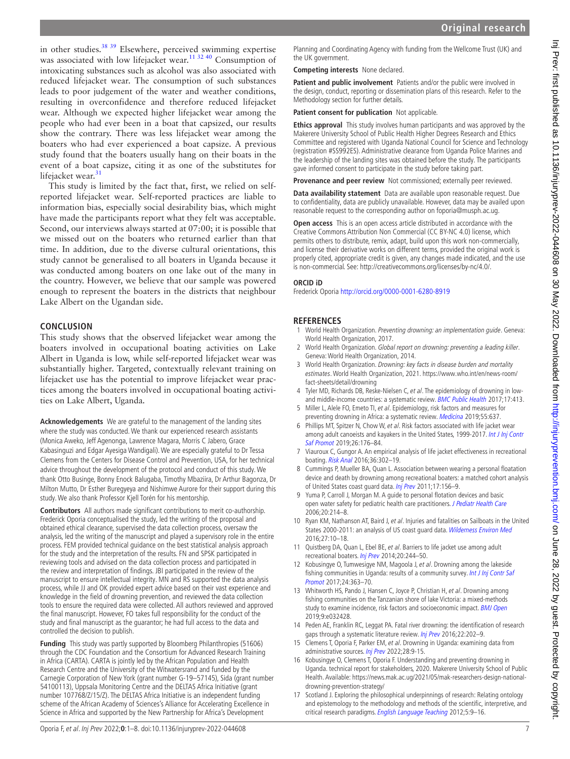in other studies.<sup>38 39</sup> Elsewhere, perceived swimming expertise was associated with low lifejacket wear.<sup>11 32 40</sup> Consumption of intoxicating substances such as alcohol was also associated with reduced lifejacket wear. The consumption of such substances leads to poor judgement of the water and weather conditions, resulting in overconfidence and therefore reduced lifejacket wear. Although we expected higher lifejacket wear among the people who had ever been in a boat that capsized, our results show the contrary. There was less lifejacket wear among the boaters who had ever experienced a boat capsize. A previous study found that the boaters usually hang on their boats in the event of a boat capsize, citing it as one of the substitutes for lifejacket wear.<sup>[31](#page-7-16)</sup>

This study is limited by the fact that, first, we relied on selfreported lifejacket wear. Self-reported practices are liable to information bias, especially social desirability bias, which might have made the participants report what they felt was acceptable. Second, our interviews always started at 07:00; it is possible that we missed out on the boaters who returned earlier than that time. In addition, due to the diverse cultural orientations, this study cannot be generalised to all boaters in Uganda because it was conducted among boaters on one lake out of the many in the country. However, we believe that our sample was powered enough to represent the boaters in the districts that neighbour Lake Albert on the Ugandan side.

#### **CONCLUSION**

This study shows that the observed lifejacket wear among the boaters involved in occupational boating activities on Lake Albert in Uganda is low, while self-reported lifejacket wear was substantially higher. Targeted, contextually relevant training on lifejacket use has the potential to improve lifejacket wear practices among the boaters involved in occupational boating activities on Lake Albert, Uganda.

**Acknowledgements** We are grateful to the management of the landing sites where the study was conducted. We thank our experienced research assistants (Monica Aweko, Jeff Agenonga, Lawrence Magara, Morris C Jabero, Grace Kabasinguzi and Edgar Ayesiga Wandigali). We are especially grateful to Dr Tessa Clemens from the Centers for Disease Control and Prevention, USA, for her technical advice throughout the development of the protocol and conduct of this study. We thank Otto Businge, Bonny Enock Balugaba, Timothy Mbaziira, Dr Arthur Bagonza, Dr Milton Mutto, Dr Esther Buregyeya and Nishimwe Aurore for their support during this study. We also thank Professor Kjell Torén for his mentorship.

**Contributors** All authors made significant contributions to merit co-authorship. Frederick Oporia conceptualised the study, led the writing of the proposal and obtained ethical clearance, supervised the data collection process, oversaw the analysis, led the writing of the manuscript and played a supervisory role in the entire process. FEM provided technical guidance on the best statistical analysis approach for the study and the interpretation of the results. FN and SPSK participated in reviewing tools and advised on the data collection process and participated in the review and interpretation of findings. JBI participated in the review of the manuscript to ensure intellectual integrity. MN and RS supported the data analysis process, while JJ and OK provided expert advice based on their vast experience and knowledge in the field of drowning prevention, and reviewed the data collection tools to ensure the required data were collected. All authors reviewed and approved the final manuscript. However, FO takes full responsibility for the conduct of the study and final manuscript as the guarantor; he had full access to the data and controlled the decision to publish.

**Funding** This study was partly supported by Bloomberg Philanthropies (51606) through the CDC Foundation and the Consortium for Advanced Research Training in Africa (CARTA). CARTA is jointly led by the African Population and Health Research Centre and the University of the Witwatersrand and funded by the Carnegie Corporation of New York (grant number G-19–57145), Sida (grant number 54100113), Uppsala Monitoring Centre and the DELTAS Africa Initiative (grant number 107768/Z/15/Z). The DELTAS Africa Initiative is an independent funding scheme of the African Academy of Sciences's Alliance for Accelerating Excellence in Science in Africa and supported by the New Partnership for Africa's Development

Planning and Coordinating Agency with funding from the Wellcome Trust (UK) and the UK government.

#### **Competing interests** None declared.

**Patient and public involvement** Patients and/or the public were involved in the design, conduct, reporting or dissemination plans of this research. Refer to the Methodology section for further details.

**Patient consent for publication** Not applicable.

**Ethics approval** This study involves human participants and was approved by the Makerere University School of Public Health Higher Degrees Research and Ethics Committee and registered with Uganda National Council for Science and Technology (registration #SS992ES). Administrative clearance from Uganda Police Marines and the leadership of the landing sites was obtained before the study. The participants gave informed consent to participate in the study before taking part.

**Provenance and peer review** Not commissioned; externally peer reviewed.

**Data availability statement** Data are available upon reasonable request. Due to confidentiality, data are publicly unavailable. However, data may be availed upon reasonable request to the corresponding author on foporia@musph.ac.ug.

**Open access** This is an open access article distributed in accordance with the Creative Commons Attribution Non Commercial (CC BY-NC 4.0) license, which permits others to distribute, remix, adapt, build upon this work non-commercially, and license their derivative works on different terms, provided the original work is properly cited, appropriate credit is given, any changes made indicated, and the use is non-commercial. See: [http://creativecommons.org/licenses/by-nc/4.0/.](http://creativecommons.org/licenses/by-nc/4.0/)

#### **ORCID iD**

Frederick Oporia<http://orcid.org/0000-0001-6280-8919>

#### **REFERENCES**

- <span id="page-6-0"></span>1 World Health Organization. Preventing drowning: an implementation quide. Geneva: World Health Organization, 2017.
- <span id="page-6-1"></span>2 World Health Organization. Global report on drowning: preventing a leading killer. Geneva: World Health Organization, 2014.
- <span id="page-6-2"></span>3 World Health Organization. Drowning: key facts in disease burden and mortality estimates. World Health Organization, 2021. [https://www.who.int/en/news-room/](https://www.who.int/en/news-room/fact-sheets/detail/drowning) [fact-sheets/detail/drowning](https://www.who.int/en/news-room/fact-sheets/detail/drowning)
- <span id="page-6-4"></span>4 Tyler MD, Richards DB, Reske-Nielsen C, et al. The epidemiology of drowning in low-and middle-income countries: a systematic review. [BMC Public Health](http://dx.doi.org/10.1186/s12889-017-4239-2) 2017;17:413.
- <span id="page-6-3"></span>5 Miller L, Alele FO, Emeto TI, et al. Epidemiology, risk factors and measures for preventing drowning in Africa: a systematic review. [Medicina](http://dx.doi.org/10.3390/medicina55100637) 2019;55:637.
- 6 Phillips MT, Spitzer N, Chow W, et al. Risk factors associated with life jacket wear among adult canoeists and kayakers in the United States, 1999-2017. Int J Inj Contr [Saf Promot](http://dx.doi.org/10.1080/17457300.2019.1576207) 2019;26:176–84.
- <span id="page-6-5"></span>7 Viauroux C, Gungor A. An empirical analysis of life jacket effectiveness in recreational boating. [Risk Anal](http://dx.doi.org/10.1111/risa.12449) 2016;36:302–19.
- 8 Cummings P, Mueller BA, Quan L. Association between wearing a personal floatation device and death by drowning among recreational boaters: a matched cohort analysis of United States coast guard data. [Inj Prev](http://dx.doi.org/10.1136/ip.2010.028688) 2011;17:156–9.
- 9 Yuma P, Carroll J, Morgan M. A guide to personal flotation devices and basic open water safety for pediatric health care practitioners. [J Pediatr Health Care](http://dx.doi.org/10.1016/j.pedhc.2006.02.008) 2006;20:214–8.
- 10 Ryan KM, Nathanson AT, Baird J, et al. Injuries and fatalities on Sailboats in the United States 2000-2011: an analysis of US coast guard data. [Wilderness Environ Med](http://dx.doi.org/10.1016/j.wem.2015.09.022) 2016;27:10–18.
- <span id="page-6-10"></span>11 Quistberg DA, Quan L, Ebel BE, et al. Barriers to life jacket use among adult recreational boaters. [Inj Prev](http://dx.doi.org/10.1136/injuryprev-2013-040973) 2014;20:244-50.
- <span id="page-6-6"></span>12 Kobusingye O, Tumwesigye NM, Magoola J, et al. Drowning among the lakeside fishing communities in Uganda: results of a community survey. Int J Inj Contr Saf [Promot](http://dx.doi.org/10.1080/17457300.2016.1200629) 2017;24:363–70.
- <span id="page-6-9"></span>13 Whitworth HS, Pando J, Hansen C, Joyce P, Christian H, et al. Drowning among fishing communities on the Tanzanian shore of lake Victoria: a mixed-methods study to examine incidence, risk factors and socioeconomic impact. [BMJ Open](http://dx.doi.org/10.1136/bmjopen-2019-032428) 2019;9:e032428.
- 14 Peden AE, Franklin RC, Leggat PA. Fatal river drowning: the identification of research gaps through a systematic literature review. [Inj Prev](http://dx.doi.org/10.1136/injuryprev-2015-041750) 2016;22:202-9.
- <span id="page-6-8"></span>15 Clemens T, Oporia F, Parker EM, et al. Drowning in Uganda: examining data from administrative sources. [Inj Prev](http://dx.doi.org/10.1136/injuryprev-2020-044131) 2022;28:9-15.
- 16 Kobusingye O, Clemens T, Oporia F. Understanding and preventing drowning in Uganda. technical report for stakeholders, 2020. Makerere University School of Public Health. Available: [https://news.mak.ac.ug/2021/05/mak-researchers-design-national](https://news.mak.ac.ug/2021/05/mak-researchers-design-national-drowning-prevention-strategy/)[drowning-prevention-strategy/](https://news.mak.ac.ug/2021/05/mak-researchers-design-national-drowning-prevention-strategy/)
- <span id="page-6-7"></span>17 Scotland J. Exploring the philosophical underpinnings of research: Relating ontology and epistemology to the methodology and methods of the scientific, interpretive, and critical research paradigms. [English Language Teaching](http://dx.doi.org/10.5539/elt.v5n9p9) 2012;5:9-16.